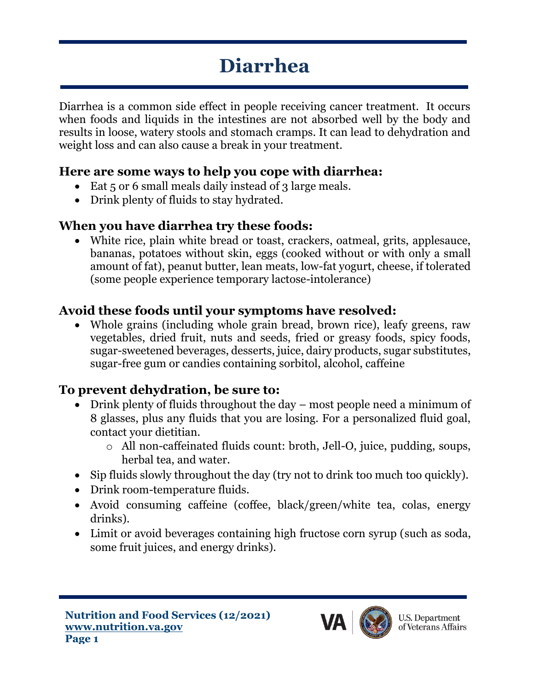# **Diarrhea**

Diarrhea is a common side effect in people receiving cancer treatment. It occurs when foods and liquids in the intestines are not absorbed well by the body and results in loose, watery stools and stomach cramps. It can lead to dehydration and weight loss and can also cause a break in your treatment.

#### **Here are some ways to help you cope with diarrhea:**

- Eat 5 or 6 small meals daily instead of 3 large meals.
- Drink plenty of fluids to stay hydrated.

### **When you have diarrhea try these foods:**

• White rice, plain white bread or toast, crackers, oatmeal, grits, applesauce, bananas, potatoes without skin, eggs (cooked without or with only a small amount of fat), peanut butter, lean meats, low-fat yogurt, cheese, if tolerated (some people experience temporary lactose-intolerance)

## **Avoid these foods until your symptoms have resolved:**

• Whole grains (including whole grain bread, brown rice), leafy greens, raw vegetables, dried fruit, nuts and seeds, fried or greasy foods, spicy foods, sugar-sweetened beverages, desserts, juice, dairy products, sugar substitutes, sugar-free gum or candies containing sorbitol, alcohol, caffeine

#### **To prevent dehydration, be sure to:**

- Drink plenty of fluids throughout the day most people need a minimum of 8 glasses, plus any fluids that you are losing. For a personalized fluid goal, contact your dietitian.
	- o All non-caffeinated fluids count: broth, Jell-O, juice, pudding, soups, herbal tea, and water.
- Sip fluids slowly throughout the day (try not to drink too much too quickly).
- Drink room-temperature fluids.
- Avoid consuming caffeine (coffee, black/green/white tea, colas, energy drinks).
- Limit or avoid beverages containing high fructose corn syrup (such as soda, some fruit juices, and energy drinks).